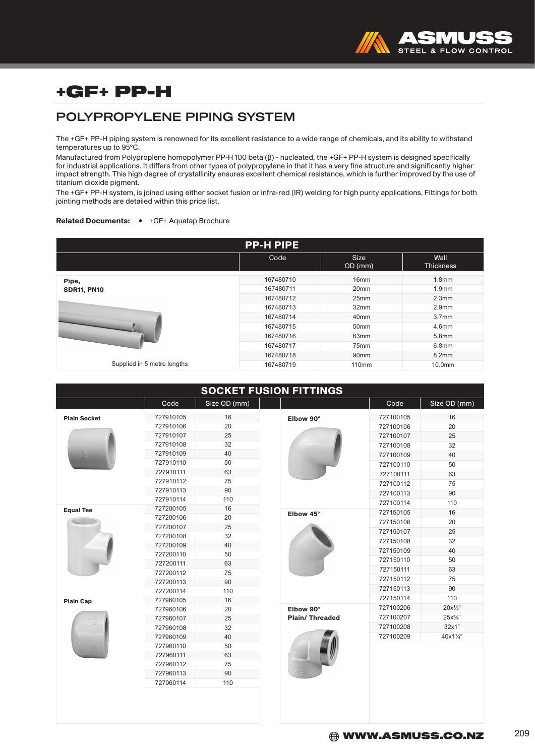

## +GF+ PP-H

#### POLYPROPYLENE PIPING SYSTEM

The +GF+ PP-H piping system is renowned for its excellent resistance to a wide range of chemicals, and its ability to withstand temperatures up to 95°C.

Manufactured from Polyproplene homopolymer PP-H 100 beta (β) - nucleated, the +GF+ PP-H system is designed specifically for industrial applications. It differs from other types of polypropylene in that it has a very fine structure and significantly higher impact strength. This high degree of crystallinity ensures excellent chemical resistance, which is further improved by the use of titanium dioxide pigment.

The +GF+ PP-H system, is joined using either socket fusion or infra-red (IR) welding for high purity applications. Fittings for both jointing methods are detailed within this price list.

#### Related Documents: • +GF+ Aquatap Brochure

| <b>PP-H PIPE</b>            |           |                        |                          |  |  |
|-----------------------------|-----------|------------------------|--------------------------|--|--|
|                             | Code      | <b>Size</b><br>OD (mm) | Wall<br><b>Thickness</b> |  |  |
| Pipe,                       | 167480710 | 16 <sub>mm</sub>       | 1.8 <sub>mm</sub>        |  |  |
| <b>SDR11, PN10</b>          | 167480711 | 20mm                   | 1.9 <sub>mm</sub>        |  |  |
|                             | 167480712 | 25mm                   | 2.3 <sub>mm</sub>        |  |  |
|                             | 167480713 | 32mm                   | 2.9 <sub>mm</sub>        |  |  |
|                             | 167480714 | 40 <sub>mm</sub>       | 3.7 <sub>mm</sub>        |  |  |
|                             | 167480715 | 50mm                   | 4.6mm                    |  |  |
|                             | 167480716 | 63mm                   | 5.8 <sub>mm</sub>        |  |  |
|                             | 167480717 | 75mm                   | 6.8mm                    |  |  |
|                             | 167480718 | 90 <sub>mm</sub>       | 8.2 <sub>mm</sub>        |  |  |
| Supplied in 5 metre lengths | 167480719 | 110 <sub>mm</sub>      | 10.0 <sub>mm</sub>       |  |  |

| <b>SOCKET FUSION FITTINGS</b> |           |              |                                             |           |                  |
|-------------------------------|-----------|--------------|---------------------------------------------|-----------|------------------|
|                               | Code      | Size OD (mm) |                                             | Code      | Size OD (mm)     |
| <b>Plain Socket</b>           | 727910105 | 16           | Elbow 90°                                   | 727100105 | 16               |
|                               | 727910106 | 20           |                                             | 727100106 | 20               |
|                               | 727910107 | 25           |                                             | 727100107 | 25               |
|                               | 727910108 | 32           |                                             | 727100108 | 32               |
|                               | 727910109 | 40           |                                             | 727100109 | 40               |
|                               | 727910110 | 50           |                                             | 727100110 | 50               |
|                               | 727910111 | 63           |                                             | 727100111 | 63               |
|                               | 727910112 | 75           |                                             | 727100112 | 75               |
|                               | 727910113 | 90           |                                             | 727100113 | 90               |
|                               | 727910114 | 110          |                                             | 727100114 | 110              |
| <b>Equal Tee</b>              | 727200105 | 16           | Elbow 45°                                   | 727150105 | 16               |
|                               | 727200106 | 20           |                                             | 727150106 | 20               |
|                               | 727200107 | 25           |                                             | 727150107 | 25               |
|                               | 727200108 | 32           |                                             | 727150108 | 32               |
|                               | 727200109 | 40           |                                             | 727150109 | 40               |
|                               | 727200110 | 50           |                                             | 727150110 | 50               |
|                               | 727200111 | 63           |                                             | 727150111 | 63               |
|                               | 727200112 | 75           |                                             | 727150112 | 75               |
|                               | 727200113 | 90           |                                             | 727150113 | 90               |
|                               | 727200114 | 110          |                                             | 727150114 | 110              |
| <b>Plain Cap</b>              | 727960105 | 16           |                                             |           |                  |
|                               | 727960106 | 20           | Elbow 90°<br><b>Plain/Threaded</b><br>tjas. | 727100206 | $20x\frac{1}{2}$ |
|                               | 727960107 | 25           |                                             | 727100207 | $25x\frac{3}{4}$ |
|                               | 727960108 | 32           |                                             | 727100208 | 32x1"            |
|                               | 727960109 | 40           |                                             | 727100209 | 40x11/4"         |
|                               | 727960110 | 50           |                                             |           |                  |
|                               | 727960111 | 63           |                                             |           |                  |
|                               | 727960112 | 75           |                                             |           |                  |
|                               | 727960113 | 90           |                                             |           |                  |
|                               | 727960114 | 110          |                                             |           |                  |
|                               |           |              |                                             |           |                  |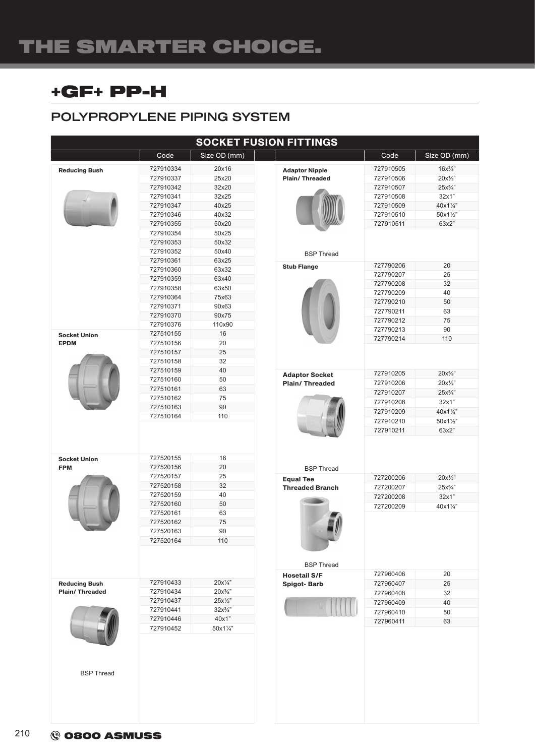# THE SMARTER CHOICE.

## +GF+ PP-H

#### POLYPROPYLENE PIPING SYSTEM

| <b>SOCKET FUSION FITTINGS</b> |           |                  |                                           |           |                    |
|-------------------------------|-----------|------------------|-------------------------------------------|-----------|--------------------|
|                               | Code      | Size OD (mm)     |                                           | Code      | Size OD (mm)       |
| <b>Reducing Bush</b>          | 727910334 | 20x16            | <b>Adaptor Nipple</b>                     | 727910505 | $16x\frac{3}{8}$   |
|                               | 727910337 | 25x20            | Plain/Threaded                            | 727910506 | $20x\frac{1}{2}$   |
|                               | 727910342 | 32x20            |                                           | 727910507 | $25x\frac{3}{4}$   |
|                               | 727910341 | 32x25            |                                           | 727910508 | 32x1"              |
|                               | 727910347 | 40x25            |                                           | 727910509 | 40x11/4"           |
|                               | 727910346 | 40x32            |                                           | 727910510 | 50x11/2"           |
|                               | 727910355 | 50x20            |                                           | 727910511 | 63x2"              |
|                               | 727910354 | 50x25            |                                           |           |                    |
|                               | 727910353 | 50x32            | <b>BSP Thread</b>                         |           |                    |
|                               | 727910352 | 50x40            |                                           |           |                    |
|                               | 727910361 | 63x25            | <b>Stub Flange</b>                        | 727790206 | 20                 |
|                               | 727910360 | 63x32            |                                           | 727790207 | 25                 |
|                               | 727910359 | 63x40            |                                           | 727790208 | 32                 |
|                               | 727910358 | 63x50            |                                           | 727790209 | 40                 |
|                               | 727910364 | 75x63            |                                           | 727790210 | 50                 |
|                               | 727910371 | 90x63            |                                           | 727790211 | 63                 |
|                               | 727910370 | 90x75            |                                           | 727790212 | 75                 |
|                               | 727910376 | 110x90           |                                           | 727790213 | 90                 |
| <b>Socket Union</b>           | 727510155 | 16               |                                           | 727790214 | 110                |
| <b>EPDM</b>                   | 727510156 | 20               |                                           |           |                    |
|                               | 727510157 | 25               |                                           |           |                    |
|                               | 727510158 | 32               |                                           |           |                    |
|                               | 727510159 | 40               | <b>Adaptor Socket</b>                     | 727910205 | $20x\frac{3}{8}$ " |
|                               | 727510160 | 50               | <b>Plain/Threaded</b>                     | 727910206 | $20x\frac{1}{2}$   |
|                               | 727510161 | 63               |                                           | 727910207 | $25x\frac{3}{4}$   |
|                               | 727510162 | 75               |                                           | 727910208 | 32x1"              |
|                               | 727510163 | 90               |                                           | 727910209 | 40x11/4"           |
|                               | 727510164 | 110              |                                           | 727910210 | 50x11/2"           |
|                               |           |                  |                                           | 727910211 | 63x2"              |
|                               |           |                  |                                           |           |                    |
| <b>Socket Union</b>           | 727520155 | 16               |                                           |           |                    |
| <b>FPM</b>                    | 727520156 | 20               | <b>BSP Thread</b>                         |           |                    |
|                               | 727520157 | 25               |                                           |           | $20x\frac{1}{2}$   |
|                               | 727520158 | 32               | <b>Equal Tee</b>                          | 727200206 |                    |
|                               | 727520159 | 40               | <b>Threaded Branch</b>                    | 727200207 | $25x\frac{3}{4}$   |
|                               | 727520160 | 50               |                                           | 727200208 | 32x1"              |
|                               | 727520161 | 63               |                                           | 727200209 | 40x11/4"           |
|                               | 727520162 | 75               |                                           |           |                    |
|                               | 727520163 | 90               |                                           |           |                    |
|                               | 727520164 | 110              |                                           |           |                    |
|                               |           |                  |                                           |           |                    |
|                               |           |                  |                                           |           |                    |
|                               |           |                  | <b>BSP Thread</b>                         | 727960406 | 20                 |
| <b>Reducing Bush</b>          | 727910433 | 20x''            | <b>Hosetail S/F</b><br><b>Spigot-Barb</b> | 727960407 | 25                 |
| <b>Plain/Threaded</b>         | 727910434 | $20x\frac{3}{8}$ |                                           | 727960408 | 32                 |
|                               | 727910437 | $25x\frac{1}{2}$ |                                           | 727960409 | 40                 |
|                               | 727910441 | $32x\frac{3}{4}$ |                                           | 727960410 | 50                 |
|                               | 727910446 | 40x1"            |                                           |           | 63                 |
|                               | 727910452 | 50x11/4"         |                                           | 727960411 |                    |
|                               |           |                  |                                           |           |                    |
|                               |           |                  |                                           |           |                    |
|                               |           |                  |                                           |           |                    |
|                               |           |                  |                                           |           |                    |
| <b>BSP Thread</b>             |           |                  |                                           |           |                    |
|                               |           |                  |                                           |           |                    |
|                               |           |                  |                                           |           |                    |
|                               |           |                  |                                           |           |                    |
|                               |           |                  |                                           |           |                    |